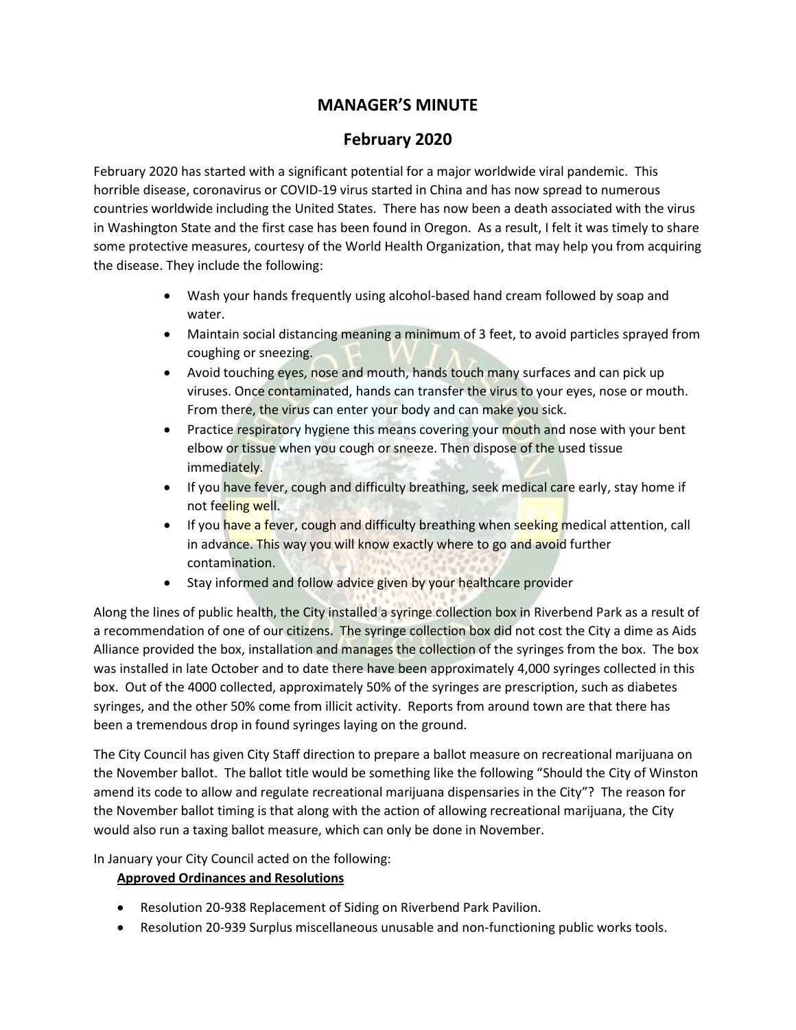# **MANAGER'S MINUTE**

## **February 2020**

February 2020 has started with a significant potential for a major worldwide viral pandemic. This horrible disease, coronavirus or COVID-19 virus started in China and has now spread to numerous countries worldwide including the United States. There has now been a death associated with the virus in Washington State and the first case has been found in Oregon. As a result, I felt it was timely to share some protective measures, courtesy of the World Health Organization, that may help you from acquiring the disease. They include the following:

- Wash your hands frequently using alcohol-based hand cream followed by soap and water.
- Maintain social distancing meaning a minimum of 3 feet, to avoid particles sprayed from coughing or sneezing.
- Avoid touching eyes, nose and mouth, hands touch many surfaces and can pick up viruses. Once contaminated, hands can transfer the virus to your eyes, nose or mouth. From there, the virus can enter your body and can make you sick.
- Practice respiratory hygiene this means covering your mouth and nose with your bent elbow or tissue when you cough or sneeze. Then dispose of the used tissue immediately.
- If you have fever, cough and difficulty breathing, seek medical care early, stay home if not feeling well.
- If you have a fever, cough and difficulty breathing when seeking medical attention, call in advance. This way you will know exactly where to go and avoid further contamination.
- Stay informed and follow advice given by your healthcare provider

Along the lines of public health, the City installed a syringe collection box in Riverbend Park as a result of a recommendation of one of our citizens. The syringe collection box did not cost the City a dime as Aids Alliance provided the box, installation and manages the collection of the syringes from the box. The box was installed in late October and to date there have been approximately 4,000 syringes collected in this box. Out of the 4000 collected, approximately 50% of the syringes are prescription, such as diabetes syringes, and the other 50% come from illicit activity. Reports from around town are that there has been a tremendous drop in found syringes laying on the ground.

The City Council has given City Staff direction to prepare a ballot measure on recreational marijuana on the November ballot. The ballot title would be something like the following "Should the City of Winston amend its code to allow and regulate recreational marijuana dispensaries in the City"? The reason for the November ballot timing is that along with the action of allowing recreational marijuana, the City would also run a taxing ballot measure, which can only be done in November.

In January your City Council acted on the following:

#### **Approved Ordinances and Resolutions**

- Resolution 20-938 Replacement of Siding on Riverbend Park Pavilion.
- Resolution 20-939 Surplus miscellaneous unusable and non-functioning public works tools.